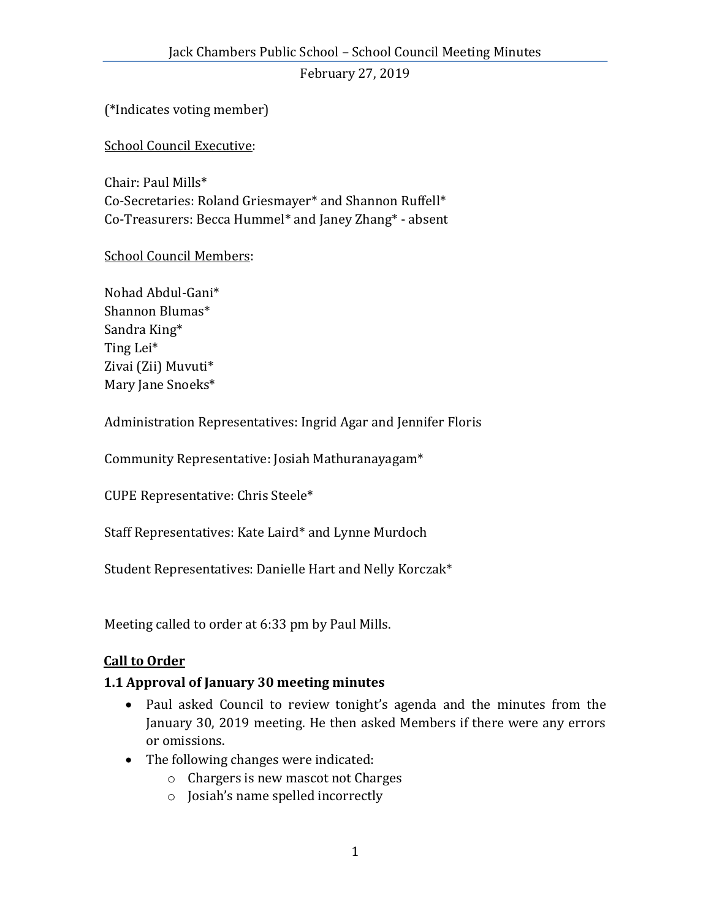(\*Indicates voting member)

School Council Executive:

Chair: Paul Mills\* Co-Secretaries: Roland Griesmayer\* and Shannon Ruffell\* Co-Treasurers: Becca Hummel\* and Janey Zhang\* - absent

#### School Council Members:

Nohad Abdul-Gani\* Shannon Blumas\* Sandra King\* Ting Lei\* Zivai (Zii) Muvuti\* Mary Jane Snoeks\*

Administration Representatives: Ingrid Agar and Jennifer Floris

Community Representative: Josiah Mathuranayagam\*

CUPE Representative: Chris Steele\*

Staff Representatives: Kate Laird\* and Lynne Murdoch

Student Representatives: Danielle Hart and Nelly Korczak\*

Meeting called to order at 6:33 pm by Paul Mills.

#### **Call to Order**

# **1.1 Approval of January 30 meeting minutes**

- Paul asked Council to review tonight's agenda and the minutes from the January 30, 2019 meeting. He then asked Members if there were any errors or omissions.
- The following changes were indicated:
	- o Chargers is new mascot not Charges
	- o Josiah's name spelled incorrectly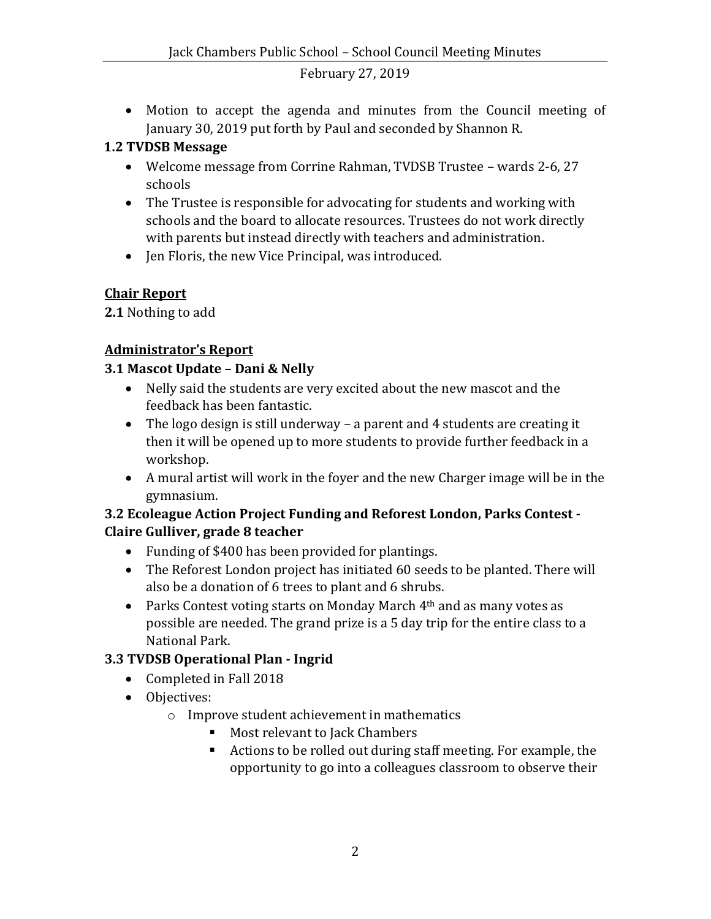Motion to accept the agenda and minutes from the Council meeting of January 30, 2019 put forth by Paul and seconded by Shannon R.

#### **1.2 TVDSB Message**

- Welcome message from Corrine Rahman, TVDSB Trustee wards 2-6, 27 schools
- The Trustee is responsible for advocating for students and working with schools and the board to allocate resources. Trustees do not work directly with parents but instead directly with teachers and administration.
- Jen Floris, the new Vice Principal, was introduced.

#### **Chair Report**

**2.1** Nothing to add

# **Administrator's Report**

# **3.1 Mascot Update – Dani & Nelly**

- Nelly said the students are very excited about the new mascot and the feedback has been fantastic.
- The logo design is still underway a parent and 4 students are creating it then it will be opened up to more students to provide further feedback in a workshop.
- A mural artist will work in the foyer and the new Charger image will be in the gymnasium.

#### **3.2 Ecoleague Action Project Funding and Reforest London, Parks Contest - Claire Gulliver, grade 8 teacher**

- Funding of \$400 has been provided for plantings.
- The Reforest London project has initiated 60 seeds to be planted. There will also be a donation of 6 trees to plant and 6 shrubs.
- Parks Contest voting starts on Monday March  $4<sup>th</sup>$  and as many votes as possible are needed. The grand prize is a 5 day trip for the entire class to a National Park.

# **3.3 TVDSB Operational Plan - Ingrid**

- Completed in Fall 2018
- Objectives:
	- o Improve student achievement in mathematics
		- Most relevant to Jack Chambers
		- Actions to be rolled out during staff meeting. For example, the opportunity to go into a colleagues classroom to observe their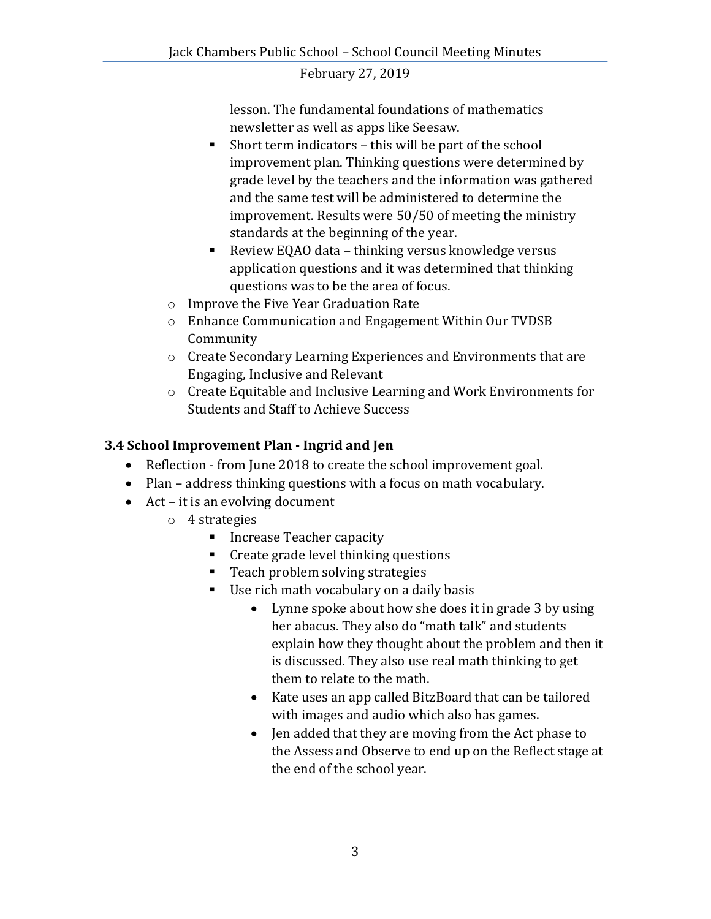lesson. The fundamental foundations of mathematics newsletter as well as apps like Seesaw.

- Short term indicators this will be part of the school improvement plan. Thinking questions were determined by grade level by the teachers and the information was gathered and the same test will be administered to determine the improvement. Results were 50/50 of meeting the ministry standards at the beginning of the year.
- Review EQAO data thinking versus knowledge versus application questions and it was determined that thinking questions was to be the area of focus.
- o Improve the Five Year Graduation Rate
- o Enhance Communication and Engagement Within Our TVDSB Community
- o Create Secondary Learning Experiences and Environments that are Engaging, Inclusive and Relevant
- o Create Equitable and Inclusive Learning and Work Environments for Students and Staff to Achieve Success

# **3.4 School Improvement Plan - Ingrid and Jen**

- Reflection from June 2018 to create the school improvement goal.
- Plan address thinking questions with a focus on math vocabulary.
- Act it is an evolving document
	- o 4 strategies
		- **Increase Teacher capacity**
		- **Create grade level thinking questions**
		- Teach problem solving strategies
		- Use rich math vocabulary on a daily basis
			- Lynne spoke about how she does it in grade 3 by using her abacus. They also do "math talk" and students explain how they thought about the problem and then it is discussed. They also use real math thinking to get them to relate to the math.
			- Kate uses an app called BitzBoard that can be tailored with images and audio which also has games.
			- Jen added that they are moving from the Act phase to the Assess and Observe to end up on the Reflect stage at the end of the school year.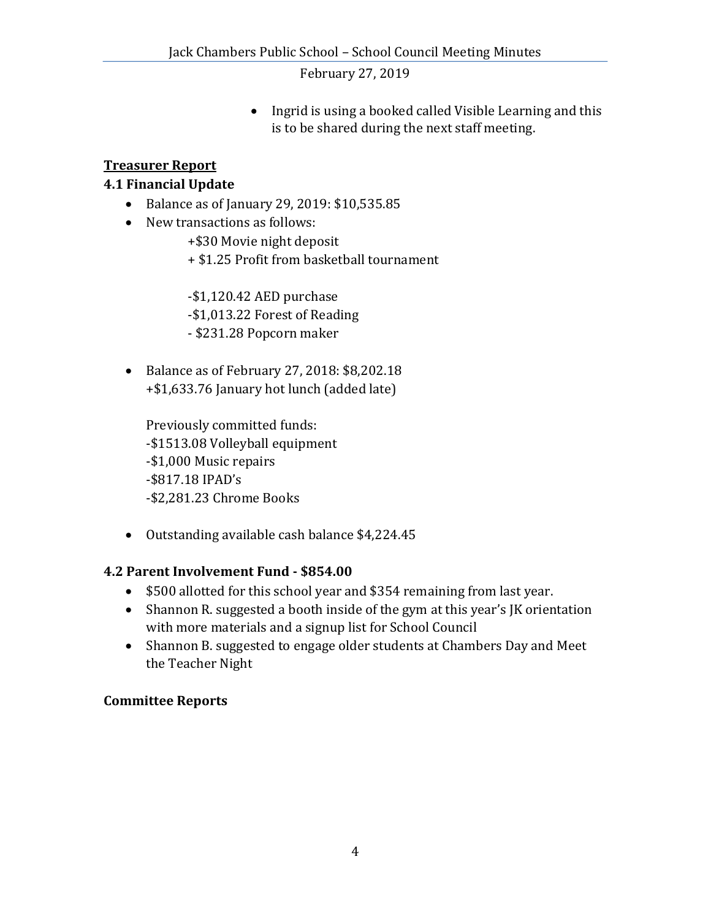• Ingrid is using a booked called Visible Learning and this is to be shared during the next staff meeting.

#### **Treasurer Report**

# **4.1 Financial Update**

- Balance as of January 29, 2019: \$10,535.85
- New transactions as follows:
	- +\$30 Movie night deposit
	- + \$1.25 Profit from basketball tournament

-\$1,120.42 AED purchase

- -\$1,013.22 Forest of Reading
- \$231.28 Popcorn maker
- Balance as of February 27, 2018: \$8,202.18 +\$1,633.76 January hot lunch (added late)

Previously committed funds: -\$1513.08 Volleyball equipment -\$1,000 Music repairs -\$817.18 IPAD's -\$2,281.23 Chrome Books

Outstanding available cash balance \$4,224.45

# **4.2 Parent Involvement Fund - \$854.00**

- \$500 allotted for this school year and \$354 remaining from last year.
- Shannon R. suggested a booth inside of the gym at this year's JK orientation with more materials and a signup list for School Council
- Shannon B. suggested to engage older students at Chambers Day and Meet the Teacher Night

# **Committee Reports**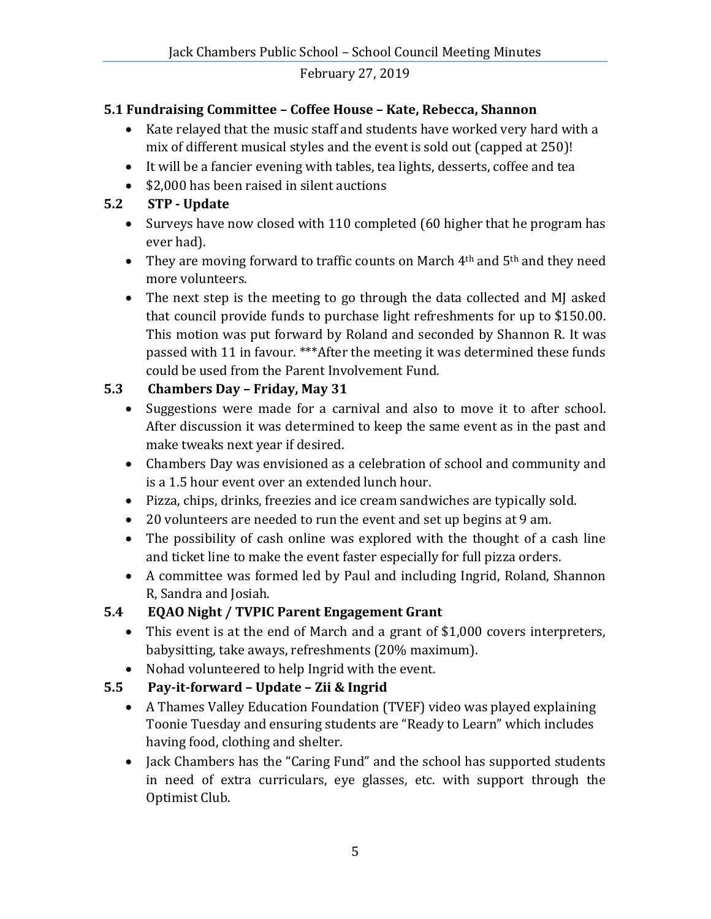# **5.1 Fundraising Committee – Coffee House – Kate, Rebecca, Shannon**

- Kate relayed that the music staff and students have worked very hard with a mix of different musical styles and the event is sold out (capped at 250)!
- It will be a fancier evening with tables, tea lights, desserts, coffee and tea
- \$2,000 has been raised in silent auctions

# **5.2 STP - Update**

- Surveys have now closed with 110 completed (60 higher that he program has ever had).
- They are moving forward to traffic counts on March  $4<sup>th</sup>$  and  $5<sup>th</sup>$  and they need more volunteers.
- The next step is the meeting to go through the data collected and MJ asked that council provide funds to purchase light refreshments for up to \$150.00. This motion was put forward by Roland and seconded by Shannon R. It was passed with 11 in favour. \*\*\*After the meeting it was determined these funds could be used from the Parent Involvement Fund.

# **5.3 Chambers Day – Friday, May 31**

- Suggestions were made for a carnival and also to move it to after school. After discussion it was determined to keep the same event as in the past and make tweaks next year if desired.
- Chambers Day was envisioned as a celebration of school and community and is a 1.5 hour event over an extended lunch hour.
- Pizza, chips, drinks, freezies and ice cream sandwiches are typically sold.
- 20 volunteers are needed to run the event and set up begins at 9 am.
- The possibility of cash online was explored with the thought of a cash line and ticket line to make the event faster especially for full pizza orders.
- A committee was formed led by Paul and including Ingrid, Roland, Shannon R, Sandra and Josiah.

# **5.4 EQAO Night / TVPIC Parent Engagement Grant**

- This event is at the end of March and a grant of \$1,000 covers interpreters, babysitting, take aways, refreshments (20% maximum).
- Nohad volunteered to help Ingrid with the event.
- **5.5 Pay-it-forward – Update – Zii & Ingrid** 
	- A Thames Valley Education Foundation (TVEF) video was played explaining Toonie Tuesday and ensuring students are "Ready to Learn" which includes having food, clothing and shelter.
	- Jack Chambers has the "Caring Fund" and the school has supported students in need of extra curriculars, eye glasses, etc. with support through the Optimist Club.